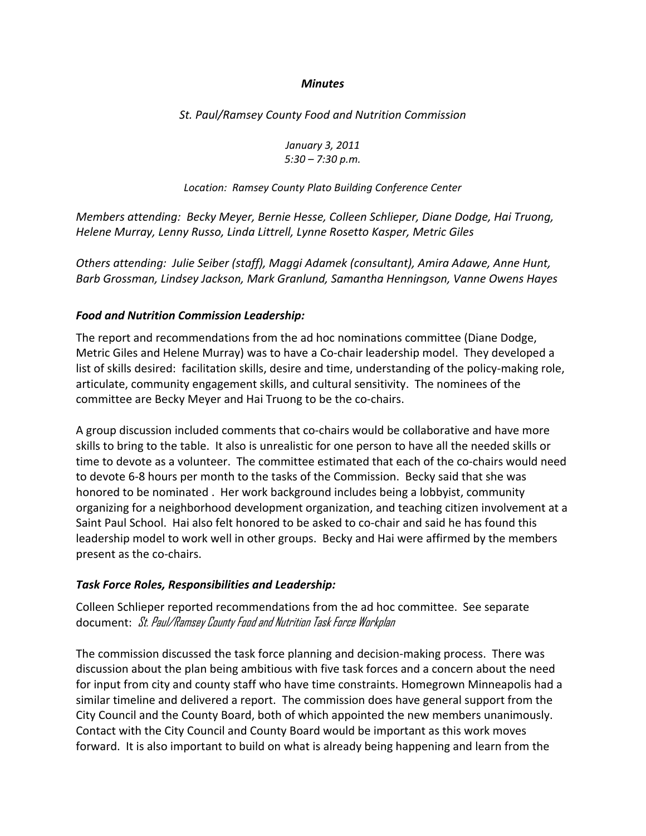## *Minutes*

*St. Paul/Ramsey County Food and Nutrition Commission*

*January 3, 2011 5:30 – 7:30 p.m.*

*Location: Ramsey County Plato Building Conference Center* 

*Members attending: Becky Meyer, Bernie Hesse, Colleen Schlieper, Diane Dodge, Hai Truong, Helene Murray, Lenny Russo, Linda Littrell, Lynne Rosetto Kasper, Metric Giles*

*Others attending: Julie Seiber (staff), Maggi Adamek (consultant), Amira Adawe, Anne Hunt, Barb Grossman, Lindsey Jackson, Mark Granlund, Samantha Henningson, Vanne Owens Hayes*

## *Food and Nutrition Commission Leadership:*

The report and recommendations from the ad hoc nominations committee (Diane Dodge, Metric Giles and Helene Murray) was to have a Co‐chair leadership model. They developed a list of skills desired: facilitation skills, desire and time, understanding of the policy‐making role, articulate, community engagement skills, and cultural sensitivity. The nominees of the committee are Becky Meyer and Hai Truong to be the co-chairs.

A group discussion included comments that co-chairs would be collaborative and have more skills to bring to the table. It also is unrealistic for one person to have all the needed skills or time to devote as a volunteer. The committee estimated that each of the co-chairs would need to devote 6‐8 hours per month to the tasks of the Commission. Becky said that she was honored to be nominated . Her work background includes being a lobbyist, community organizing for a neighborhood development organization, and teaching citizen involvement at a Saint Paul School. Hai also felt honored to be asked to co-chair and said he has found this leadership model to work well in other groups. Becky and Hai were affirmed by the members present as the co-chairs.

## *Task Force Roles, Responsibilities and Leadership:*

Colleen Schlieper reported recommendations from the ad hoc committee. See separate document: St. Paul/Ramsey County Food and Nutrition Task Force Workplan

The commission discussed the task force planning and decision‐making process. There was discussion about the plan being ambitious with five task forces and a concern about the need for input from city and county staff who have time constraints. Homegrown Minneapolis had a similar timeline and delivered a report. The commission does have general support from the City Council and the County Board, both of which appointed the new members unanimously. Contact with the City Council and County Board would be important as this work moves forward. It is also important to build on what is already being happening and learn from the